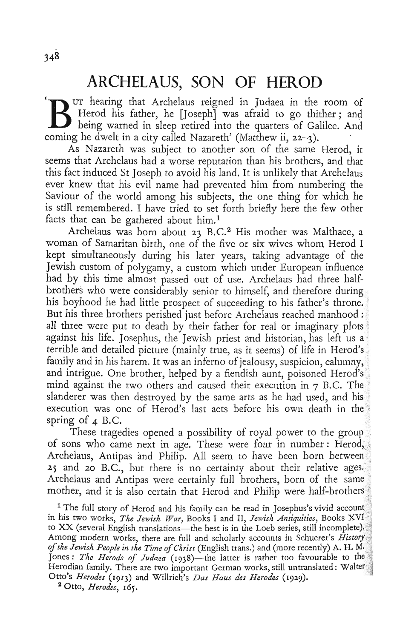## **ARCHELAUS, SON OF HEROD**<br>Fur hearing that Archelaus reigned in Judaea in the room of

Herod his father, he [Joseph] was afraid to go thither; and being warned in sleep retired into the quarters of Galilee. And coming he dwelt in a city called Nazareth' (Matthew ii,  $22-3$ ).

As Nazareth was subject to another son of the same Herod, it seems that Archelaus had a worse reputation than his brothers, and that this fact induced St Joseph to avoid his land. It is unlikely that Archelaus ever knew that his evil name had prevented him from numbering the Saviour of the world among his subjects, the one thing for which he is still remembered. I have tried to set forth briefly here the few other facts that can be gathered about  $him.1$ 

Archelaus was born about 23 B.C.<sup>2</sup> His mother was Malthace, a woman of Samaritan birth, one of the five or six wives whom Herod I kept simultaneously during his later years, taking advantage of the Jewish custom of polygamy, a custom which under European influence had by this time almost passed out of use. Archelaus had three halfbrothers who were considerably senior to himself, and therefore during his boyhood he had little prospect of succeeding to his father's throne. But his three brothers perished just before Archelaus reached manhood : all three were put to death by their father for real or imaginary plots. against his life. Josephus, the Jewish priest and historian, has left us a terrible and detailed picture (mainly true, as it seems) of life in Herod's family and in his harem. It was an inferno of jealousy, suspicion, calumny, and intrigue. One brother, helped by a fiendish aunt, poisoned Herod's mind against the two others and caused their execution in 7 B.C. The slanderer was then destroyed by the same arts as he had used, and his execution was one of Herod's last acts before his own death in th spring of  $\triangle$  B.C.

These tragedies opened a possibility of royal power to the grou of sons who came next in age. These were four in number: Herod, Archelaus, Antipas and Philip. All seem to have been born between 25 and 20 B.C., but there is no certainty about their relative ages. Archelaus and Antipas were certainly full brothers, born of the sa mother, and it is also certain that Herod and Philip were half-brothers

<sup>1</sup> The full story of Herod and his family can be read in Josephus's vivid account in his two works, *The Jewish War,* Books I and Il, *Jewish Antiquities,* Books XV! to XX (several English translations-the best is in the Loeb series, still incomplete). Among modern works, there are full and scholarly accounts in Schuerer's *History . of the Jewish People in the Time of Christ* (English trans.) and (more recently) A. H. Jones: *The Herods of Judaea* (1938)—the latter is rather too favourable to the Herodian family. There are two important German works, still untranslated: Wal Otto's *Herodes* (1913) and WilIrich's *Das Haus des Herodes (1929).* 

20tto, *Herodes, 165.*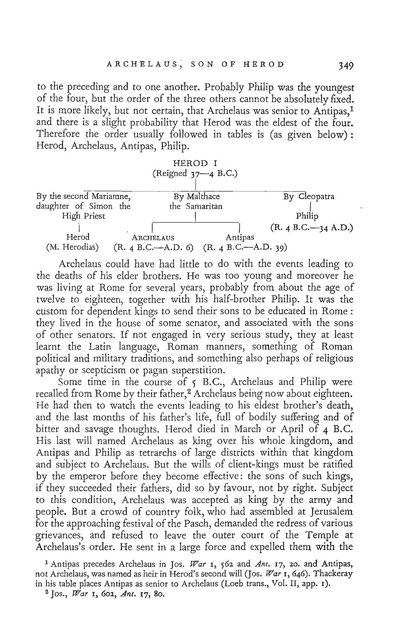to the preceding and to one another. Probably Philip was the youngest of the four, but the order of the three others cannot be absolutely fixed. It is more likely, but not certain, that Archelaus was senior to Antipas,<sup>1</sup> and there is a slight probability that Herod was the eldest of the four. Therefore the order usually followed in tables is (as given below): Herod, Archelaus, Antipas, Philip.



Archelaus could have had little to do with the events leading to the deaths of his elder brothers. He was too young and moreover he was living at Rome for several years, probably from about the age of twelve to eighteen, together with his half-brother Philip. It was the custom for dependent kings to send their sons to be educated in Rome: they lived in the house of some senator, and associated with the sons of other senators. If not engaged in very serious study, they at least learnt the Latin language, Roman manners, something of Roman political and military traditions, and something also perhaps of religious apathy or scepticism or pagan superstition.

Some time in the course of  $5$  B.C., Archelaus and Philip were recalled from Rome by their father,<sup>2</sup> Archelaus being now about eighteen. He had then to watch the events leading to his eldest brother's death, and the last months of his father's life, full of bodily suffering and of bitter and savage thoughts. Herod died in March or April of 4 B.C. His last will named Archelaus as king over his whole kingdom, and Antipas and Philip as tetrarchs of large districts within that kingdom and subject to Archelaus. But the wills of client-kings must be ratified by the emperor before they become effective: the sons of such kings, if they succeeded their fathers, did so by favour, not by right. Subject to this condition, Archelaus was accepted as king by the army and people. But a crowd of country folk, who had assembled at Jerusalem for the approaching festival of the Pasch, demanded the redress of various grievances, and refused to leave the outer court of the Temple at Archelaus's order. He sent in a large force and expelled them with the

<sup>1</sup> Antipas precedes Archelaus in JOs. *War* I, 562 and *Ant.* 17, *20.* and Antipas, not Archelaus, was named as heir in Herod's second will (Jos. *War* 1, 646). Thackeray in his table places Antipas as senior to Archelaus (Loeb trans., Vo!. II, app. I).

<sup>2</sup> Jos., *War* I, 602, *Ant.* 17, 80.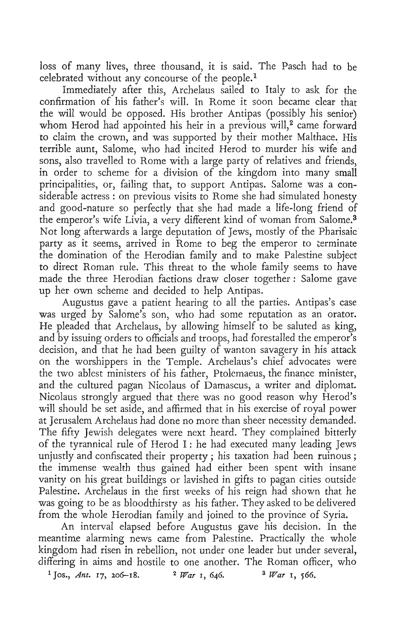$\epsilon$  of many lives, these thousand, it is said. The Pasch had to  $\epsilon$ so of many tives, three mousand, it is said. The rasen had to be celebrated without any concourse of the people.<sup>1</sup><br>Immediately after this, Archelaus sailed to Italy to ask for the

confirmation of his father's will. In Rome it soon became clear that the will would be opposed. His brother Antipas (possibly his senior) whom Herod had appointed his heir in a previous will,<sup>2</sup> came forward to claim the crown, and was supported by their mother Malthace. His terrible aunt, Salome, who had incited Herod to murder his wife and sons, also travelled to Rome with a large party of relatives and friends, is, also travelied to Kollie with a large party of relatives and friends, principalities, or, failing that, to support Antipas. Salome was a correction of the total correction of the correction of the correction of the correction of the correction of the correction of the correction of the corre principalities, or, failing that, to support Antipas. Salome was a considerable actress: on previous visits to Rome she had simulated honesty and good-nature so perfectly that she had made a life-long friend of the emperor's wife Livia, a very different kind of woman from Salome.<sup>3</sup> Not long afterwards a large deputation of Jews, mostly of the Pharisaig:' prompt are values a large deputation of Jews, mostly of the ritalisate the domination of the Herodian family and to make Palestine subject to domination of the fieroulant family and to make ratestine subject ance Roman fue. This threat to the whole family seems to have made the three Herodian factions draw closer together : Salome gave up her own scheme and decided to help Antipas.

Augustus gave a patient hearing to all the parties. Antipas's case" was urged by Salome's son, who had some reputation as an orator.  $\frac{1}{2}$  and  $\frac{1}{2}$  and  $\frac{1}{2}$  are set  $\frac{1}{2}$  and  $\frac{1}{2}$  and  $\frac{1}{2}$  are saluted as king,  $\frac{1}{2}$  $\alpha$  is isosimore orders to officials and troops, had forestalled the emperor's and by issuing orders to officials and troops, had forestalled the emperor's decision, and that he had been guilty of wanton savagery in his attack con the worshippers in the Temple. Archelaus's chief advocates were the worshippers in the Temple. Archelaus's citier advocates were the two ablest ministers of his father, Ptolemaeus, the finance minister, and the cultured pagan Nicolaus of Damascus, a writer and diplomat. Nicolaus strongly argued that there was no good reason why Herod's will should be set aside, and affirmed that in his exercise of royal power at Jerusalem Archelaus had done no more than sheer necessity demanded. The fifty Jewish delegates were next heard. They complained bitterly of the tyrannical rule of Herod I: he had executed many leading Jews unjustly and confiscated their property; his taxation had been ruinous; the immense wealth thus gained had either been spent with insane vanity on his great hard lines gained individual to perfect spent with insanction of the contribution of the subside vanity on his great buildings or lavished in gifts to pagan cities outside Palestine. Archelaus in the first weeks of his reign had shown that he was going to be as bloodthirsty as his father. They asked to be delivered from the whole Herodian family as this fame. They asked to be delivered as

An interval elapsed before Augustus gave his decision. In the meant measured before manufacture gave in accession. In the canting alarming news came none parestine. Plactically the whole  $\alpha$  differential in a state to one and the Roman of  $\alpha$  one and  $\alpha$ differing in aims and hostile to one another. The Roman officer, who <sup>1</sup> Jos., *Ant.* 17, 206-18. <sup>2</sup> *War* 1, 646. <sup>3</sup> *War* 1, 566.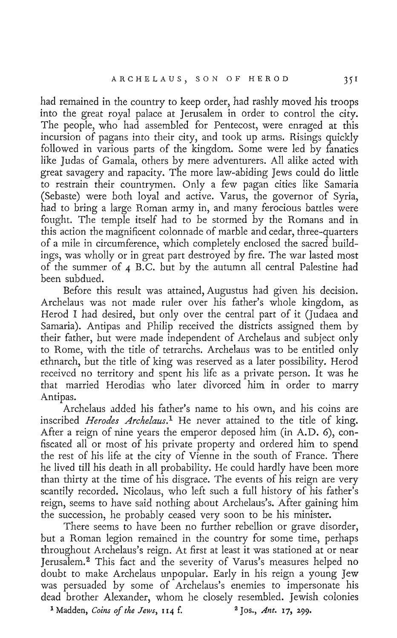had remained in the country to keep order, had rashly moved his troops Into the great royal palace at Jerusalem in order to control the city. into the great royal palace at Jerusalem in order to control the city.<br>The people, who had assembled for Pentecost, were enraged at this incursion of pagans into their city, and took up arms. Risings quickly followed in various parts of the kingdom. Some were led by fanatics like Judas of Gamala, others by mere adventurers. All alike acted with great savagery and rapacity. The more law-abiding Jews could do little to restrain their countrymen. Only a few pagan cities like Samaria (Sebaste) were both loyal and active. Varus, the governor of Syria, had to bring a large Roman army in, and many ferocious battles were fought. The temple itself had to be stormed by the Romans and in this action the magnificent colonnade of marble and cedar, three-quarters of a mile in circumference, which completely enclosed the sacred buildings, was wholly or in great part destroyed by fire. The war lasted most of the summer of 4 B. C. but by the autumn all central Delection had been subducted.<br>Been subducted

been subdued.<br>Before this result was attained, Augustus had given his decision. Archelaus was not made ruler over his father's whole kingdom, as enciaus was not made ruter over ms failers whole kingdom, as Samaria). Antipas and Philip received the districts assigned them by Samaria). Antipas and Philip received the districts assigned them by their father, but were made independent of Archelaus and subject only<br>to Rome, with the title of tetrarchs. Archelaus was to be entitled only ethnarch, but the title of king was reserved as a later possibility. Herod received no territory and spent his life as a private person. It was he that married Herodias who later divorced him in order to marry at main<br>........

Archelaus added his father's name to his own, and his coins are inscribed *Herodes Archelaus*.<sup>1</sup> He never attained to the title of king. After a reign of nine years the emperor deposed him (in A.D. 6), confield a felgh of filme years the emperor deposed him (in A.D. 0), concated all of most of his private property and ordered min to spend<br>career of his life at the city of Vienne in the south of France. There he lived till his till death in all probability. He could handly have been more  $t_{\text{tot}}$  and this deal in all probability. The could have  $t_{\text{tot}}$  been more than thirty at the time of his disgrace. The events of his reign are very scantily recorded. Nicolaus, who left such a full history of his father's. reign, seems to have said nothing about Archelaus's. After gaining him the succession, he probably ceased very soon to be his minister.<br>There seems to have been no further rebellion or grave disorder,

I here seems to have been no futurel rependent of grave disorder, the a reduction to the community for some time, perhaps throughout Archelaus's reign. At first at least it was stationed at or near Jerusalem.<sup>2</sup> This fact and the severity of Varus's measures helped no doubt to make Archelaus unpopular. Early in his reign a young Jew<br>was persuaded by some of Archelaus's enemies to impersonate his dead brother Alexander, whom he closely resembled. Jewish colonies 1 Model Hexandel, whom he closely resombled format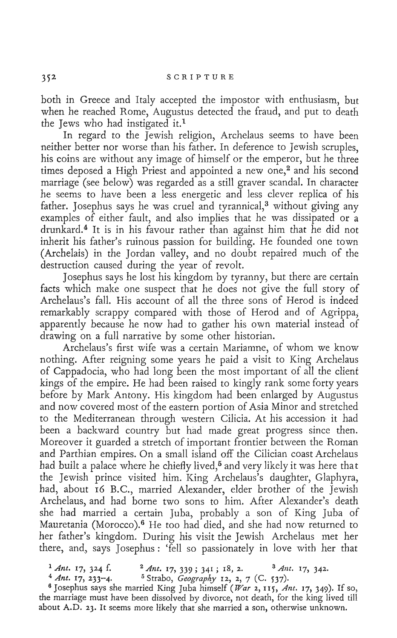both in Greece and Italy accepted the impostor with enthusiasm, but when he reached Rome, Augustus detected the fraud, and put to death the Jews who had instigated it.<sup>1</sup>

In regard to the Jewish religion, Archelaus seems to have been neither better nor worse than his father. In deference to Jewish scruples, his coins are without any image of himself or the emperor, but he three times deposed a High Priest and appointed a new one,<sup>2</sup> and his second marriage (see below) was regarded as a still graver scandal. In character he seems to have been a less energetic and less clever replica of his father. Josephus says he was cruel and tyrannical, $3$  without giving any examples of either fault, and also implies that he was dissipated or a drunkard.<sup>4</sup> It is in his favour rather than against him that he did not inherit his father's ruinous passion for building. He founded one town (Archelais) in the Jordan valley, and no doubt repaired much of the destruction caused during the year of revolt.

Josephus says he lost his kingdom by tyranny, but there are certain facts which make one suspect that he does not give the full story of Archelaus's fall. His account of all the three sons of Herod is indeed remarkably scrappy compared with those of Herod and of Agrippa, apparently because he now had to gather his own material instead of drawing on a full narrative by some other historian.

Archelaus's first wife was a certain Mariamne, of whom we know nothing. After reigning some years he paid a visit to King Archelaus of Cappadocia, who had long been the most important of all the client kings of the empire. He had been raised to kingly rank some forty years before by Mark Antony. His kingdom had been enlarged by Augustus and now covered most of the eastern portion of Asia Minor and stretched to the Mediterranean through western Cilicia. At his accession- it had been a backward country but had made great progress since then. Moreover it guarded a stretch of important frontier between the Roman and Parthian empires. On a small island off the Cilician coast Archelaus had built a palace where he chiefly lived,<sup>5</sup> and very likely it was here that the Jewish prince visited him. King Archelaus's daughter, Glaphyra, had, about 16 B.C., married Alexander, elder brother of the Jewish Archelaus, and had borne two sons to him. After Alexander's death she had married a certain Juba, probably a son of King Juba of Mauretania (Morocco).<sup>6</sup> He too had died, and she had now returned to her father's kingdom. During his visit the Jewish Archelaus met her there, and, says Josephus: 'fell so passionately in love with her that

<sup>1</sup> Ant. 17, 324 f. <sup>2</sup> Ant. 17, 339; 341; 18, 2. <sup>3</sup> Ant. 17, 342.

<sup>4</sup> Ant. 17, 233-4. <sup>5</sup> Strabo, *Geography* 12, 2, 7 (C. 537). 6 Josephus says she married King Juba himself *(War* 2,115, *Ant.* 17,349). If so,

the marriage must have been dissolved by divorce, not death, for the king lived till the marriage must have been dissolved by divorce, not death, for the king lived till<br>about A.D. 23. It seems more likely that she married a son, otherwise unknown.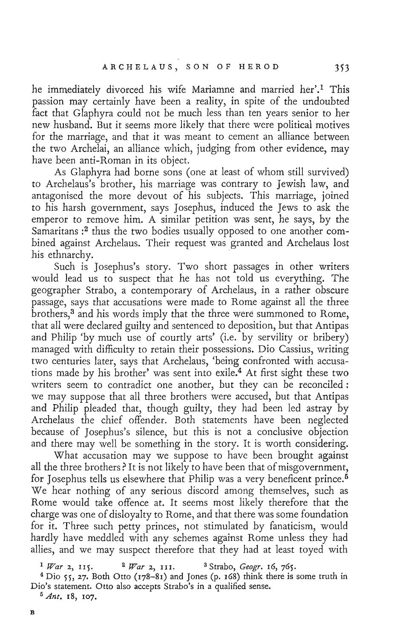he immediately divorced his wife Mariamne and married her'.<sup>1</sup> This passion may certainly have been a reality, in spite of the undoubted fact that Glaphyra could not be much less than ten years senior to her new husband. But it seems more likely that there were political motives for the marriage, and that it was meant to cement an alliance between the two Archelai, an alliance which, judging from other evidence, may have been anti-Roman in its object.

As Glaphyra had borne sons (one at least of whom still survived) to Archelaus's brother, his marriage was contrary to Jewish law, and antagonised the more devout of his subjects. This marriage, joined to his harsh government, says Josephus, induced the Jews to ask the emperor to remove him. A similar petition was sent, he says, by the Samaritans :<sup>2</sup> thus the two bodies usually opposed to one another combined against Archelaus. Their request was granted and Archelaus lost his ethnarchy.

his ethnarchy.<br>Such is Josephus's story. Two short passages in other writers would lead us to suspect that he has not told us everything. The geographer Strabo, a contemporary of Archelaus, in a rather obscure passage, says that accusations were made to Rome against all the three brothers,<sup>3</sup> and his words imply that the three were summoned to Rome, that all were declared guilty and sentenced to deposition, but that Antipas and Philip 'by much use of courtly arts' (i.e. by servility or bribery) managed with difficulty to retain their possessions. Dio Cassius, writing two centuries later, says that Archelaus, 'being confronted with accusations made by his brother' was sent into exile.4 At first sight these two writers seem to contradict one another, but they can be reconciled: we may suppose that all three brothers were accused, but that Antipas and Philip pleaded that, though guilty, they had been led astray by Archelaus the chief offender. Both statements have been neglected because of Josephus's silence, but this is not a conclusive objection and there may well be something in the story. It is worth considering.

What accusation may we suppose to have been brought against all the three brothers? It is not likely to have been that of misgovernment, for Josephus tells us elsewhere that Philip was a very beneficent prince.<sup>5</sup> We hear nothing of any serious discord among themselves, such as Rome would take offence at. It seems most likely therefore that the charge was one of disloyalty to Rome, and that there was some foundation for it. Three such petty princes, not stimulated by fanaticism, would hardly have meddled with any schemes against Rome unless they had allies, and we may suspect therefore that they had at least toyed with

 $4$  Dio 55, 27. Both Otto (178-81) and Jones (p. 168) think there is some truth in Dio's statement. Otto also accepts Strabo's in a qualified sense.

<sup>5</sup> Ant. 18, 107.

<sup>1</sup>*War* 2, 1l5. 2 *War* 2, Ill. 3 Strabo, *Geogr.* 16, 765.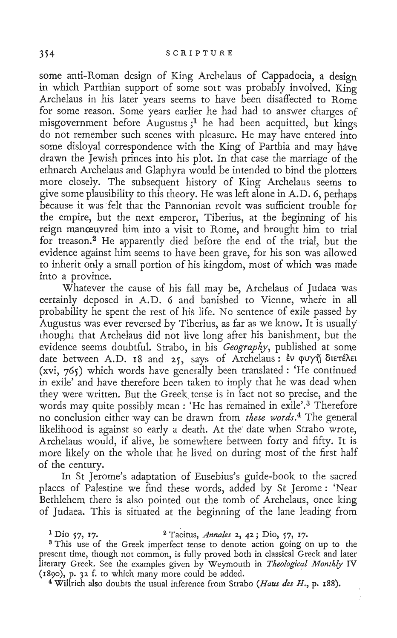some anti-Roman design of King Archelaus of Cappadocia, a design. in which Parthian support of some soit was probably involved. King Archelaus in his later years seems to have been disaffected to. Rome for some reason. Some years earlier he had had to answer charges of misgovernment before Augustus;1 he had been acquitted, but kings do not remember such scenes with pleasure. He may have entered into some disloyal correspondence with the King of Parthia and may have drawn the Jewish princes into his plot. In that case the marriage of the ethnarch Archelaus and Glaphyra would be intended to bind the plotters more closely. The subsequent history of King Archelaus seems to give some plausibility to this theory. He was left alone in A.D. 6, perhap{ because it was felt that the Pannonian revolt was sufficient trouble for the empire, but the next emperor, Tiberius, at the beginning of his reign manreuvred him into a visit to Rome, and brought him to trial for treason.2 He apparently died before the end of the trial, but the evidence against him seems to have been grave, for his son was allowed to inherit only a small portion of his kingdom, most of which was made into a province.

Whatever the cause of his fall may be, Archelaus of Judaea was certainly deposed in A.D: 6 and banished to Vienne, where in all probability he spent the rest of his life. No sentence of exile passed by Augustus was ever reversed by Tiberius, as far as we know. It is usually thought that Archelaus did not live long after his banishment, but the evidence seems doubtful. Strabo, in his *Geography,* published at some date between A.D. 18 and 25, says of Archelaus: Èv ouyn διετέλει (xvi,  $765$ ) which words have generally been translated: 'He continued in exile' and have therefore been taken to imply that he was dead when they were written. But the Greek, tense is in fact not so precise, and the words may quite possibly mean: 'He has remained in exile'.3 Therefore no conclusion either way can be drawn from *these words.4* The general likelihood is against so early a death. At the' date when Strabo wrote, Archelaus would, if alive, be somewhere between forty and fifty. It is more likely on the whole that he lived on during most of the first half of the century.

In St Jerome's adaptation of Eusebius's guide-book to the sacred places of Palestine we find these words, added by St Jerome: 'Near Bethlehem there is also pointed out the tomb of Archelaus, once king of Judaea. This is situated at the beginning of the lane leading from

<sup>3</sup> This use of the Greek imperfect tense to denote action going on up to the present time, though not common, is fully proved both in classical Greek and later literary Greek. See the examples given by Weymouth in *Theological Monthly* IV  $(800)$ , p. 32 f. to which many more could be added.

4 Willrich also doubts the usual inference from Strabo *(Haus des H.,* p. 188).

<sup>1</sup> Dio 57, 17. 2 Tacitus, *Annales* 2, 42; Dio, 57, I7.